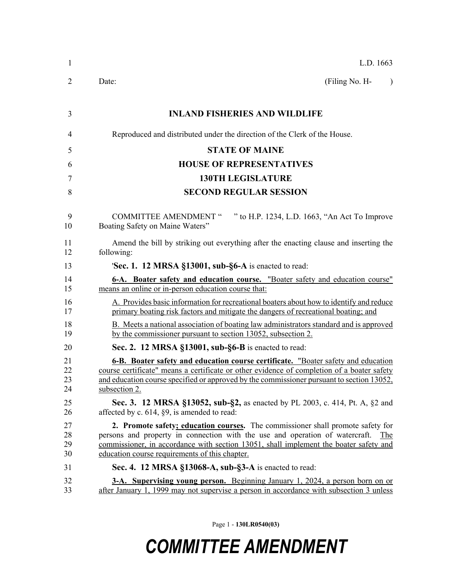| $\mathbf{1}$         | L.D. 1663                                                                                                                                                                                                                                                                                                         |
|----------------------|-------------------------------------------------------------------------------------------------------------------------------------------------------------------------------------------------------------------------------------------------------------------------------------------------------------------|
| 2                    | (Filing No. H-<br>Date:<br>$\lambda$                                                                                                                                                                                                                                                                              |
| 3                    | <b>INLAND FISHERIES AND WILDLIFE</b>                                                                                                                                                                                                                                                                              |
| 4                    | Reproduced and distributed under the direction of the Clerk of the House.                                                                                                                                                                                                                                         |
| 5                    | <b>STATE OF MAINE</b>                                                                                                                                                                                                                                                                                             |
| 6                    | <b>HOUSE OF REPRESENTATIVES</b>                                                                                                                                                                                                                                                                                   |
| 7                    | <b>130TH LEGISLATURE</b>                                                                                                                                                                                                                                                                                          |
| 8                    | <b>SECOND REGULAR SESSION</b>                                                                                                                                                                                                                                                                                     |
| 9<br>10              | " to H.P. 1234, L.D. 1663, "An Act To Improve<br><b>COMMITTEE AMENDMENT "</b><br>Boating Safety on Maine Waters"                                                                                                                                                                                                  |
| 11<br>12             | Amend the bill by striking out everything after the enacting clause and inserting the<br>following:                                                                                                                                                                                                               |
| 13                   | <b>Sec. 1. 12 MRSA §13001, sub-§6-A</b> is enacted to read:                                                                                                                                                                                                                                                       |
| 14<br>15             | <b>6-A.</b> Boater safety and education course. "Boater safety and education course"<br>means an online or in-person education course that:                                                                                                                                                                       |
| 16<br>17             | A. Provides basic information for recreational boaters about how to identify and reduce<br>primary boating risk factors and mitigate the dangers of recreational boating; and                                                                                                                                     |
| 18<br>19             | B. Meets a national association of boating law administrators standard and is approved<br>by the commissioner pursuant to section 13052, subsection 2.                                                                                                                                                            |
| 20                   | Sec. 2. 12 MRSA §13001, sub-§6-B is enacted to read:                                                                                                                                                                                                                                                              |
| 21<br>22<br>23<br>24 | 6-B. Boater safety and education course certificate. "Boater safety and education<br>course certificate" means a certificate or other evidence of completion of a boater safety<br>and education course specified or approved by the commissioner pursuant to section 13052,<br>subsection 2.                     |
| 25<br>26             | <b>Sec. 3. 12 MRSA §13052, sub-§2, as enacted by PL 2003, c. 414, Pt. A, §2 and</b><br>affected by c. $614$ , $\S9$ , is amended to read:                                                                                                                                                                         |
| 27<br>28<br>29<br>30 | 2. Promote safety; education courses. The commissioner shall promote safety for<br>persons and property in connection with the use and operation of watercraft.<br>The<br>commissioner, in accordance with section 13051, shall implement the boater safety and<br>education course requirements of this chapter. |
| 31                   | Sec. 4. 12 MRSA §13068-A, sub-§3-A is enacted to read:                                                                                                                                                                                                                                                            |
| 32<br>33             | <b>3-A.</b> Supervising young person. Beginning January 1, 2024, a person born on or<br>after January 1, 1999 may not supervise a person in accordance with subsection 3 unless                                                                                                                                   |

Page 1 - **130LR0540(03)**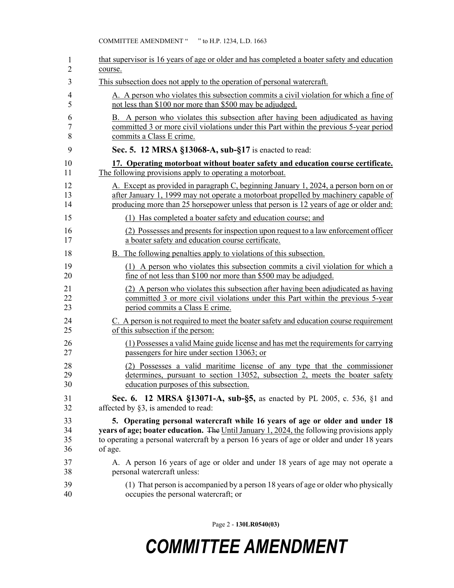| 1  | that supervisor is 16 years of age or older and has completed a boater safety and education      |
|----|--------------------------------------------------------------------------------------------------|
| 2  | course.                                                                                          |
| 3  | This subsection does not apply to the operation of personal watercraft.                          |
| 4  | A. A person who violates this subsection commits a civil violation for which a fine of           |
| 5  | not less than \$100 nor more than \$500 may be adjudged.                                         |
| 6  | B. A person who violates this subsection after having been adjudicated as having                 |
| 7  | committed 3 or more civil violations under this Part within the previous 5-year period           |
| 8  | commits a Class E crime.                                                                         |
| 9  | Sec. 5. 12 MRSA §13068-A, sub-§17 is enacted to read:                                            |
| 10 | 17. Operating motorboat without boater safety and education course certificate.                  |
| 11 | The following provisions apply to operating a motorboat.                                         |
| 12 | A. Except as provided in paragraph C, beginning January 1, 2024, a person born on or             |
| 13 | after January 1, 1999 may not operate a motorboat propelled by machinery capable of              |
| 14 | producing more than 25 horsepower unless that person is 12 years of age or older and:            |
| 15 | (1) Has completed a boater safety and education course; and                                      |
| 16 | (2) Possesses and presents for inspection upon request to a law enforcement officer              |
| 17 | a boater safety and education course certificate.                                                |
| 18 | <b>B.</b> The following penalties apply to violations of this subsection.                        |
| 19 | (1) A person who violates this subsection commits a civil violation for which a                  |
| 20 | fine of not less than \$100 nor more than \$500 may be adjudged.                                 |
| 21 | (2) A person who violates this subsection after having been adjudicated as having                |
| 22 | committed 3 or more civil violations under this Part within the previous 5-year                  |
| 23 | period commits a Class E crime.                                                                  |
| 24 | C. A person is not required to meet the boater safety and education course requirement           |
| 25 | of this subsection if the person:                                                                |
| 26 | (1) Possesses a valid Maine guide license and has met the requirements for carrying              |
| 27 | passengers for hire under section 13063; or                                                      |
| 28 | (2) Possesses a valid maritime license of any type that the commissioner                         |
| 29 | determines, pursuant to section 13052, subsection 2, meets the boater safety                     |
| 30 | education purposes of this subsection.                                                           |
| 31 | Sec. 6. 12 MRSA §13071-A, sub-§5, as enacted by PL 2005, c. 536, §1 and                          |
| 32 | affected by §3, is amended to read:                                                              |
| 33 | 5. Operating personal watercraft while 16 years of age or older and under 18                     |
| 34 | <b>years of age; boater education.</b> The Until January 1, 2024, the following provisions apply |
| 35 | to operating a personal watercraft by a person 16 years of age or older and under 18 years       |
| 36 | of age.                                                                                          |
| 37 | A. A person 16 years of age or older and under 18 years of age may not operate a                 |
| 38 | personal watercraft unless:                                                                      |
| 39 | (1) That person is accompanied by a person 18 years of age or older who physically               |
| 40 | occupies the personal watercraft; or                                                             |

Page 2 - **130LR0540(03)**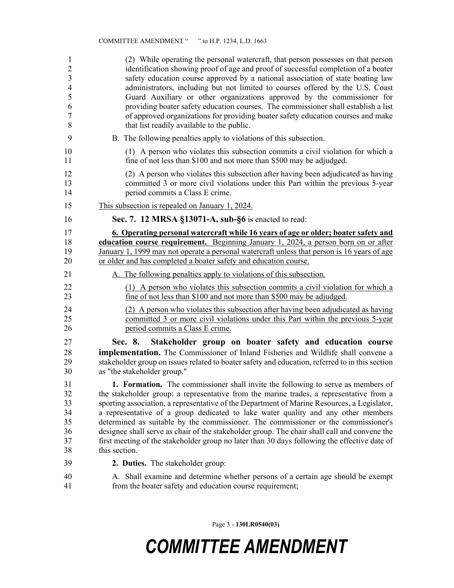| 1<br>$\overline{c}$<br>$\overline{\mathbf{3}}$<br>$\overline{4}$<br>5<br>6<br>$\overline{7}$<br>8 | (2) While operating the personal watercraft, that person possesses on that person<br>identification showing proof of age and proof of successful completion of a boater<br>safety education course approved by a national association of state boating law<br>administrators, including but not limited to courses offered by the U.S. Coast<br>Guard Auxiliary or other organizations approved by the commissioner for<br>providing boater safety education courses. The commissioner shall establish a list<br>of approved organizations for providing boater safety education courses and make<br>that list readily available to the public.                        |
|---------------------------------------------------------------------------------------------------|------------------------------------------------------------------------------------------------------------------------------------------------------------------------------------------------------------------------------------------------------------------------------------------------------------------------------------------------------------------------------------------------------------------------------------------------------------------------------------------------------------------------------------------------------------------------------------------------------------------------------------------------------------------------|
| 9                                                                                                 | B. The following penalties apply to violations of this subsection.                                                                                                                                                                                                                                                                                                                                                                                                                                                                                                                                                                                                     |
| 10<br>11                                                                                          | (1) A person who violates this subsection commits a civil violation for which a<br>fine of not less than \$100 and not more than \$500 may be adjudged.                                                                                                                                                                                                                                                                                                                                                                                                                                                                                                                |
| 12<br>13<br>14                                                                                    | (2) A person who violates this subsection after having been adjudicated as having<br>committed 3 or more civil violations under this Part within the previous 5-year<br>period commits a Class E crime.                                                                                                                                                                                                                                                                                                                                                                                                                                                                |
| 15                                                                                                | This subsection is repealed on January 1, 2024.                                                                                                                                                                                                                                                                                                                                                                                                                                                                                                                                                                                                                        |
| 16                                                                                                | Sec. 7. 12 MRSA §13071-A, sub-§6 is enacted to read:                                                                                                                                                                                                                                                                                                                                                                                                                                                                                                                                                                                                                   |
| 17<br>18<br>19<br>20                                                                              | <u><b>6. Operating personal watercraft while 16 years of age or older; boater safety and</b></u><br>education course requirement. Beginning January 1, 2024, a person born on or after<br>January 1, 1999 may not operate a personal watercraft unless that person is 16 years of age<br>or older and has completed a boater safety and education course.                                                                                                                                                                                                                                                                                                              |
| 21                                                                                                | A. The following penalties apply to violations of this subsection.                                                                                                                                                                                                                                                                                                                                                                                                                                                                                                                                                                                                     |
| 22<br>23                                                                                          | (1) A person who violates this subsection commits a civil violation for which a<br>fine of not less than \$100 and not more than \$500 may be adjudged.                                                                                                                                                                                                                                                                                                                                                                                                                                                                                                                |
| 24<br>25<br>26                                                                                    | (2) A person who violates this subsection after having been adjudicated as having<br>committed 3 or more civil violations under this Part within the previous 5-year<br>period commits a Class E crime.                                                                                                                                                                                                                                                                                                                                                                                                                                                                |
| 27<br>28<br>29<br>30                                                                              | Stakeholder group on boater safety and education course<br>Sec. 8.<br>implementation. The Commissioner of Inland Fisheries and Wildlife shall convene a<br>stakeholder group on issues related to boater safety and education, referred to in this section<br>as "the stakeholder group."                                                                                                                                                                                                                                                                                                                                                                              |
| 31<br>32<br>33<br>34<br>35<br>36<br>37<br>38                                                      | 1. Formation. The commissioner shall invite the following to serve as members of<br>the stakeholder group: a representative from the marine trades, a representative from a<br>sporting association, a representative of the Department of Marine Resources, a Legislator,<br>a representative of a group dedicated to lake water quality and any other members<br>determined as suitable by the commissioner. The commissioner or the commissioner's<br>designee shall serve as chair of the stakeholder group. The chair shall call and convene the<br>first meeting of the stakeholder group no later than 30 days following the effective date of<br>this section. |
| 39                                                                                                | 2. Duties. The stakeholder group:                                                                                                                                                                                                                                                                                                                                                                                                                                                                                                                                                                                                                                      |
| 40                                                                                                | A. Shall examine and determine whether persons of a certain age should be exempt                                                                                                                                                                                                                                                                                                                                                                                                                                                                                                                                                                                       |

41 from the boater safety and education course requirement;

Page 3 - **130LR0540(03)**